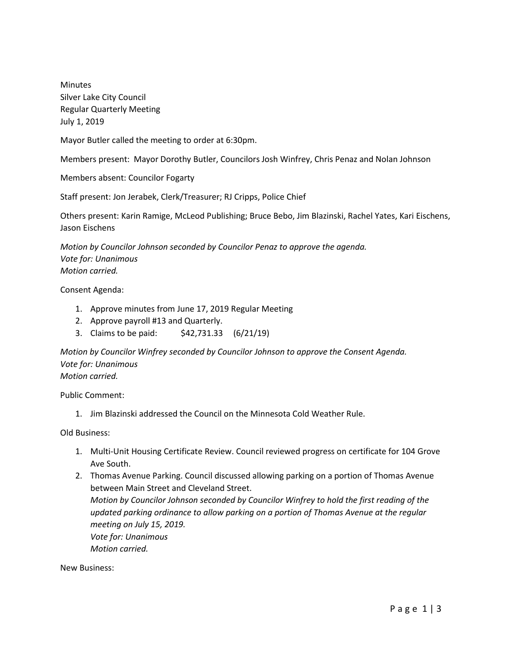**Minutes** Silver Lake City Council Regular Quarterly Meeting July 1, 2019

Mayor Butler called the meeting to order at 6:30pm.

Members present: Mayor Dorothy Butler, Councilors Josh Winfrey, Chris Penaz and Nolan Johnson

Members absent: Councilor Fogarty

Staff present: Jon Jerabek, Clerk/Treasurer; RJ Cripps, Police Chief

Others present: Karin Ramige, McLeod Publishing; Bruce Bebo, Jim Blazinski, Rachel Yates, Kari Eischens, Jason Eischens

*Motion by Councilor Johnson seconded by Councilor Penaz to approve the agenda. Vote for: Unanimous Motion carried.*

Consent Agenda:

- 1. Approve minutes from June 17, 2019 Regular Meeting
- 2. Approve payroll #13 and Quarterly.
- 3. Claims to be paid: \$42,731.33 (6/21/19)

*Motion by Councilor Winfrey seconded by Councilor Johnson to approve the Consent Agenda. Vote for: Unanimous Motion carried.*

Public Comment:

1. Jim Blazinski addressed the Council on the Minnesota Cold Weather Rule.

Old Business:

- 1. Multi-Unit Housing Certificate Review. Council reviewed progress on certificate for 104 Grove Ave South.
- 2. Thomas Avenue Parking. Council discussed allowing parking on a portion of Thomas Avenue between Main Street and Cleveland Street. *Motion by Councilor Johnson seconded by Councilor Winfrey to hold the first reading of the updated parking ordinance to allow parking on a portion of Thomas Avenue at the regular meeting on July 15, 2019. Vote for: Unanimous Motion carried.*

New Business: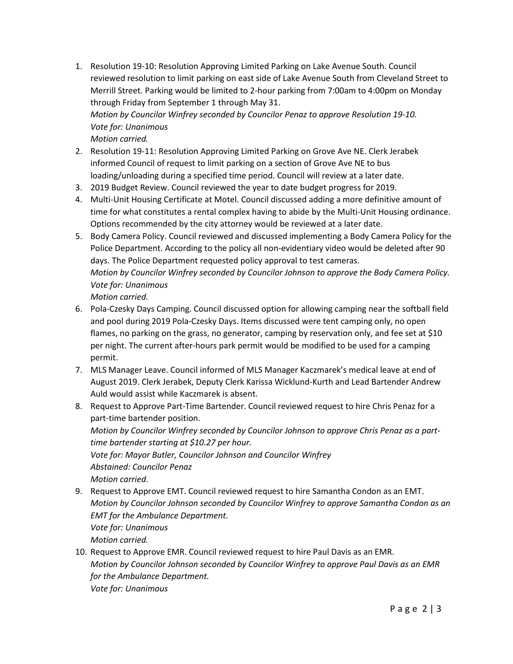- 1. Resolution 19-10: Resolution Approving Limited Parking on Lake Avenue South. Council reviewed resolution to limit parking on east side of Lake Avenue South from Cleveland Street to Merrill Street. Parking would be limited to 2-hour parking from 7:00am to 4:00pm on Monday through Friday from September 1 through May 31. *Motion by Councilor Winfrey seconded by Councilor Penaz to approve Resolution 19-10. Vote for: Unanimous Motion carried.*
- 2. Resolution 19-11: Resolution Approving Limited Parking on Grove Ave NE. Clerk Jerabek informed Council of request to limit parking on a section of Grove Ave NE to bus loading/unloading during a specified time period. Council will review at a later date.
- 3. 2019 Budget Review. Council reviewed the year to date budget progress for 2019.
- 4. Multi-Unit Housing Certificate at Motel. Council discussed adding a more definitive amount of time for what constitutes a rental complex having to abide by the Multi-Unit Housing ordinance. Options recommended by the city attorney would be reviewed at a later date.
- 5. Body Camera Policy. Council reviewed and discussed implementing a Body Camera Policy for the Police Department. According to the policy all non-evidentiary video would be deleted after 90 days. The Police Department requested policy approval to test cameras. *Motion by Councilor Winfrey seconded by Councilor Johnson to approve the Body Camera Policy. Vote for: Unanimous Motion carried.*
- 6. Pola-Czesky Days Camping. Council discussed option for allowing camping near the softball field and pool during 2019 Pola-Czesky Days. Items discussed were tent camping only, no open flames, no parking on the grass, no generator, camping by reservation only, and fee set at \$10 per night. The current after-hours park permit would be modified to be used for a camping permit.
- 7. MLS Manager Leave. Council informed of MLS Manager Kaczmarek's medical leave at end of August 2019. Clerk Jerabek, Deputy Clerk Karissa Wicklund-Kurth and Lead Bartender Andrew Auld would assist while Kaczmarek is absent.
- 8. Request to Approve Part-Time Bartender. Council reviewed request to hire Chris Penaz for a part-time bartender position. *Motion by Councilor Winfrey seconded by Councilor Johnson to approve Chris Penaz as a parttime bartender starting at \$10.27 per hour. Vote for: Mayor Butler, Councilor Johnson and Councilor Winfrey Abstained: Councilor Penaz Motion carried*.
- 9. Request to Approve EMT. Council reviewed request to hire Samantha Condon as an EMT. *Motion by Councilor Johnson seconded by Councilor Winfrey to approve Samantha Condon as an EMT for the Ambulance Department. Vote for: Unanimous Motion carried.*
- 10. Request to Approve EMR. Council reviewed request to hire Paul Davis as an EMR. *Motion by Councilor Johnson seconded by Councilor Winfrey to approve Paul Davis as an EMR for the Ambulance Department. Vote for: Unanimous*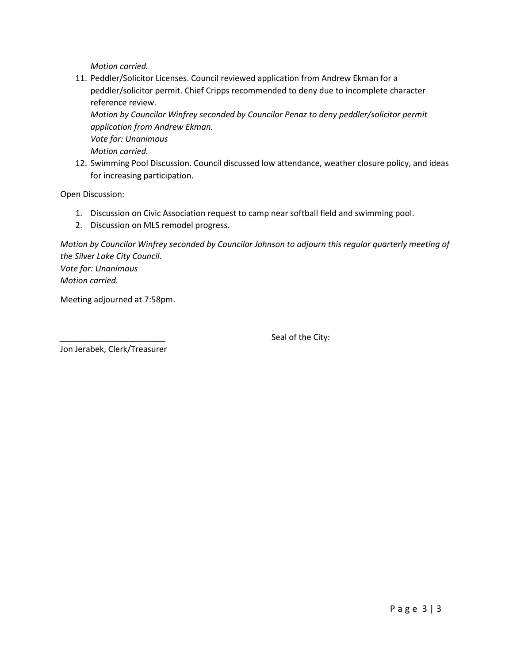*Motion carried.*

11. Peddler/Solicitor Licenses. Council reviewed application from Andrew Ekman for a peddler/solicitor permit. Chief Cripps recommended to deny due to incomplete character reference review. *Motion by Councilor Winfrey seconded by Councilor Penaz to deny peddler/solicitor permit* 

*application from Andrew Ekman. Vote for: Unanimous Motion carried.*

12. Swimming Pool Discussion. Council discussed low attendance, weather closure policy, and ideas for increasing participation.

Open Discussion:

- 1. Discussion on Civic Association request to camp near softball field and swimming pool.
- 2. Discussion on MLS remodel progress.

*Motion by Councilor Winfrey seconded by Councilor Johnson to adjourn this regular quarterly meeting of the Silver Lake City Council. Vote for: Unanimous Motion carried.*

Meeting adjourned at 7:58pm.

Seal of the City:

Jon Jerabek, Clerk/Treasurer